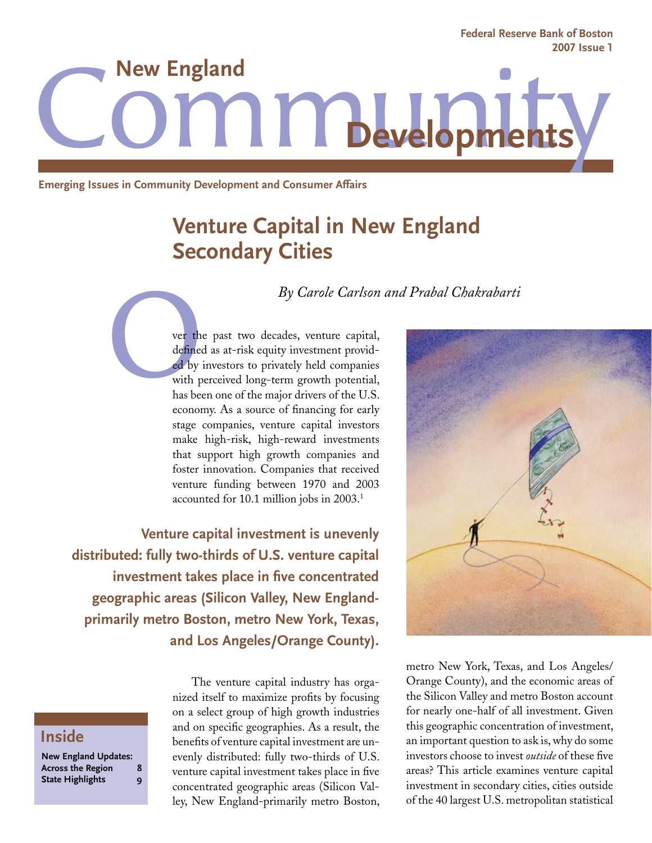**Federal Reserve Bank of Boston 2007 Issue 1**

**LITT** Develop **New England**

**Emerging Issues in Community Development and Consumer Affairs**

# **Venture Capital in New England Secondary Cities**

*By Carole Carlson and Prabal Chakrabarti*

ver the defined by with p has be ver the past two decades, venture capital, defined as at-risk equity investment provided by investors to privately held companies with perceived long-term growth potential, has been one of the major drivers of the U.S. economy. As a source of financing for early stage companies, venture capital investors make high-risk, high-reward investments that support high growth companies and foster innovation. Companies that received venture funding between 1970 and 2003 accounted for 10.1 million jobs in 2003.1

**Venture capital investment is unevenly distributed: fully two-thirds of U.S. venture capital investment takes place in five concentrated geographic areas (Silicon Valley, New Englandprimarily metro Boston, metro New York, Texas, and Los Angeles/Orange County).**

## **Inside**

**New England Updates: Across the Region 8 State Highlights** 

The venture capital industry has organized itself to maximize profits by focusing on a select group of high growth industries and on specific geographies. As a result, the benefits of venture capital investment are unevenly distributed: fully two-thirds of U.S. venture capital investment takes place in five concentrated geographic areas (Silicon Valley, New England-primarily metro Boston,



metro New York, Texas, and Los Angeles/ Orange County), and the economic areas of the Silicon Valley and metro Boston account for nearly one-half of all investment. Given this geographic concentration of investment, an important question to ask is, why do some investors choose to invest *outside* of these five areas? This article examines venture capital investment in secondary cities, cities outside of the 40 largest U.S. metropolitan statistical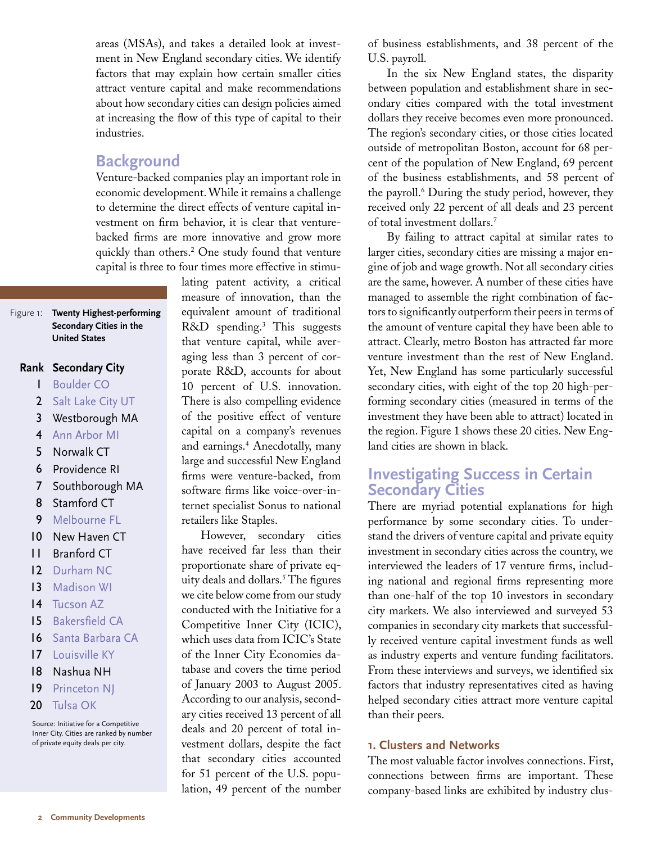areas (MSAs), and takes a detailed look at investment in New England secondary cities. We identify factors that may explain how certain smaller cities attract venture capital and make recommendations about how secondary cities can design policies aimed at increasing the flow of this type of capital to their industries.

## **Background**

Venture-backed companies play an important role in economic development. While it remains a challenge to determine the direct effects of venture capital investment on firm behavior, it is clear that venturebacked firms are more innovative and grow more quickly than others.<sup>2</sup> One study found that venture capital is three to four times more effective in stimu-

> lating patent activity, a critical measure of innovation, than the equivalent amount of traditional R&D spending.3 This suggests that venture capital, while averaging less than 3 percent of corporate R&D, accounts for about 10 percent of U.S. innovation. There is also compelling evidence of the positive effect of venture capital on a company's revenues and earnings.4 Anecdotally, many large and successful New England firms were venture-backed, from software firms like voice-over-internet specialist Sonus to national retailers like Staples.

However, secondary cities have received far less than their proportionate share of private equity deals and dollars.5 The figures we cite below come from our study conducted with the Initiative for a Competitive Inner City (ICIC), which uses data from ICIC's State of the Inner City Economies database and covers the time period of January 2003 to August 2005. According to our analysis, secondary cities received 13 percent of all deals and 20 percent of total investment dollars, despite the fact that secondary cities accounted for 51 percent of the U.S. population, 49 percent of the number

of business establishments, and 38 percent of the U.S. payroll.

In the six New England states, the disparity between population and establishment share in secondary cities compared with the total investment dollars they receive becomes even more pronounced. The region's secondary cities, or those cities located outside of metropolitan Boston, account for 68 percent of the population of New England, 69 percent of the business establishments, and 58 percent of the payroll.<sup>6</sup> During the study period, however, they received only 22 percent of all deals and 23 percent of total investment dollars.7

By failing to attract capital at similar rates to larger cities, secondary cities are missing a major engine of job and wage growth. Not all secondary cities are the same, however. A number of these cities have managed to assemble the right combination of factors to significantly outperform their peers in terms of the amount of venture capital they have been able to attract. Clearly, metro Boston has attracted far more venture investment than the rest of New England. Yet, New England has some particularly successful secondary cities, with eight of the top 20 high-performing secondary cities (measured in terms of the investment they have been able to attract) located in the region. Figure 1 shows these 20 cities. New England cities are shown in black.

## **Investigating Success in Certain Secondary Cities**

There are myriad potential explanations for high performance by some secondary cities. To understand the drivers of venture capital and private equity investment in secondary cities across the country, we interviewed the leaders of 17 venture firms, including national and regional firms representing more than one-half of the top 10 investors in secondary city markets. We also interviewed and surveyed 53 companies in secondary city markets that successfully received venture capital investment funds as well as industry experts and venture funding facilitators. From these interviews and surveys, we identified six factors that industry representatives cited as having helped secondary cities attract more venture capital than their peers.

#### **1. Clusters and Networks**

The most valuable factor involves connections. First, connections between firms are important. These company-based links are exhibited by industry clus-

#### Figure 1: **Twenty Highest-performing Secondary Cities in the United States**

## **Secondary City Rank**

- Boulder CO 1
- 2 Salt Lake City UT
- Westborough MA 3
- 4 Ann Arbor MI
- Norwalk CT 5
- Providence RI 6
- Southborough MA 7
- Stamford CT 8
- Melbourne FL 9
- New Haven CT 10
- Branford CT 11
- 12 Durham NC
- Madison WI 13
- 14 Tucson AZ
- Bakersfield CA 15
- 16 Santa Barbara CA
- Louisville KY 17
- Nashua NH 18
- Princeton NJ 19
- Tulsa OK 20

Source: Initiative for a Competitive Inner City. Cities are ranked by number of private equity deals per city.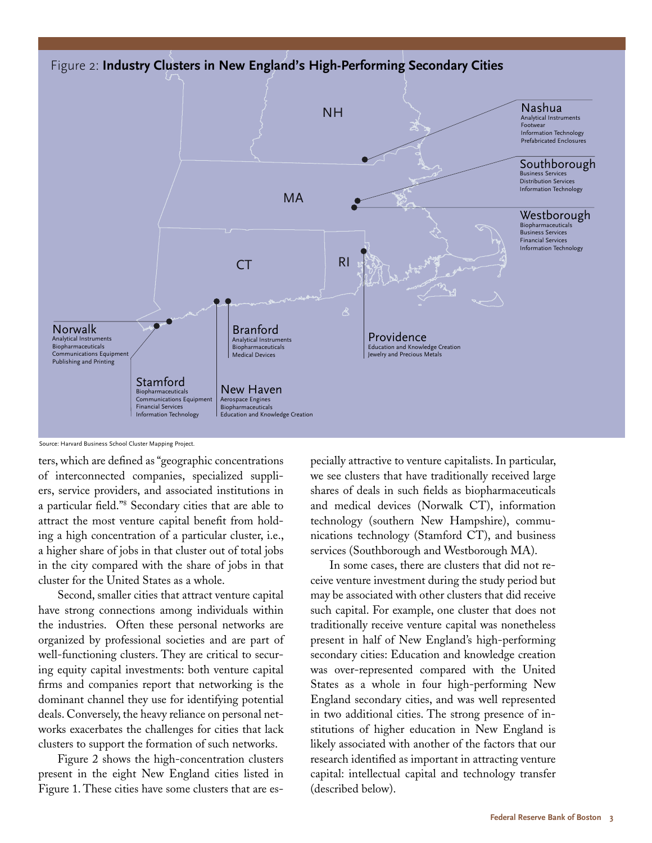

#### Source: Harvard Business School Cluster Mapping Project.

ters, which are defined as "geographic concentrations of interconnected companies, specialized suppliers, service providers, and associated institutions in a particular field."8 Secondary cities that are able to attract the most venture capital benefit from holding a high concentration of a particular cluster, i.e., a higher share of jobs in that cluster out of total jobs in the city compared with the share of jobs in that cluster for the United States as a whole.

Second, smaller cities that attract venture capital have strong connections among individuals within the industries. Often these personal networks are organized by professional societies and are part of well-functioning clusters. They are critical to securing equity capital investments: both venture capital firms and companies report that networking is the dominant channel they use for identifying potential deals. Conversely, the heavy reliance on personal networks exacerbates the challenges for cities that lack clusters to support the formation of such networks.

Figure 2 shows the high-concentration clusters present in the eight New England cities listed in Figure 1. These cities have some clusters that are especially attractive to venture capitalists. In particular, we see clusters that have traditionally received large shares of deals in such fields as biopharmaceuticals and medical devices (Norwalk CT), information technology (southern New Hampshire), communications technology (Stamford CT), and business services (Southborough and Westborough MA).

In some cases, there are clusters that did not receive venture investment during the study period but may be associated with other clusters that did receive such capital. For example, one cluster that does not traditionally receive venture capital was nonetheless present in half of New England's high-performing secondary cities: Education and knowledge creation was over-represented compared with the United States as a whole in four high-performing New England secondary cities, and was well represented in two additional cities. The strong presence of institutions of higher education in New England is likely associated with another of the factors that our research identified as important in attracting venture capital: intellectual capital and technology transfer (described below).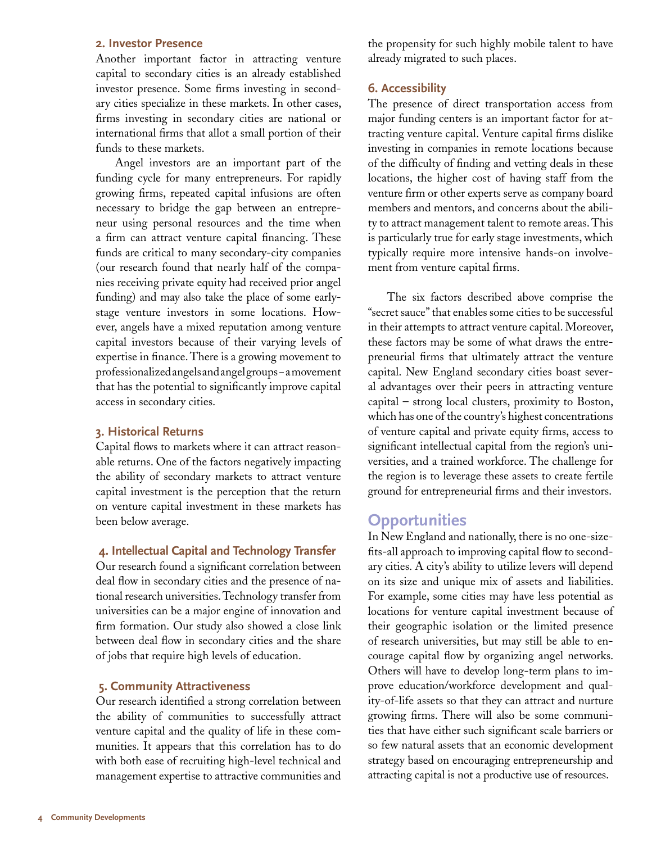#### **2. Investor Presence**

Another important factor in attracting venture capital to secondary cities is an already established investor presence. Some firms investing in secondary cities specialize in these markets. In other cases, firms investing in secondary cities are national or international firms that allot a small portion of their funds to these markets.

Angel investors are an important part of the funding cycle for many entrepreneurs. For rapidly growing firms, repeated capital infusions are often necessary to bridge the gap between an entrepreneur using personal resources and the time when a firm can attract venture capital financing. These funds are critical to many secondary-city companies (our research found that nearly half of the companies receiving private equity had received prior angel funding) and may also take the place of some earlystage venture investors in some locations. However, angels have a mixed reputation among venture capital investors because of their varying levels of expertise in finance. There is a growing movement to professionalized angels and angel groups − a movement that has the potential to significantly improve capital access in secondary cities.

#### **3. Historical Returns**

Capital flows to markets where it can attract reasonable returns. One of the factors negatively impacting the ability of secondary markets to attract venture capital investment is the perception that the return on venture capital investment in these markets has been below average.

#### **4. Intellectual Capital and Technology Transfer**

Our research found a significant correlation between deal flow in secondary cities and the presence of national research universities. Technology transfer from universities can be a major engine of innovation and firm formation. Our study also showed a close link between deal flow in secondary cities and the share of jobs that require high levels of education.

#### **5. Community Attractiveness**

Our research identified a strong correlation between the ability of communities to successfully attract venture capital and the quality of life in these communities. It appears that this correlation has to do with both ease of recruiting high-level technical and management expertise to attractive communities and the propensity for such highly mobile talent to have already migrated to such places.

#### **6. Accessibility**

The presence of direct transportation access from major funding centers is an important factor for attracting venture capital. Venture capital firms dislike investing in companies in remote locations because of the difficulty of finding and vetting deals in these locations, the higher cost of having staff from the venture firm or other experts serve as company board members and mentors, and concerns about the ability to attract management talent to remote areas. This is particularly true for early stage investments, which typically require more intensive hands-on involvement from venture capital firms.

The six factors described above comprise the "secret sauce" that enables some cities to be successful in their attempts to attract venture capital. Moreover, these factors may be some of what draws the entrepreneurial firms that ultimately attract the venture capital. New England secondary cities boast several advantages over their peers in attracting venture capital – strong local clusters, proximity to Boston, which has one of the country's highest concentrations of venture capital and private equity firms, access to significant intellectual capital from the region's universities, and a trained workforce. The challenge for the region is to leverage these assets to create fertile ground for entrepreneurial firms and their investors.

## **Opportunities**

In New England and nationally, there is no one-sizefits-all approach to improving capital flow to secondary cities. A city's ability to utilize levers will depend on its size and unique mix of assets and liabilities. For example, some cities may have less potential as locations for venture capital investment because of their geographic isolation or the limited presence of research universities, but may still be able to encourage capital flow by organizing angel networks. Others will have to develop long-term plans to improve education/workforce development and quality-of-life assets so that they can attract and nurture growing firms. There will also be some communities that have either such significant scale barriers or so few natural assets that an economic development strategy based on encouraging entrepreneurship and attracting capital is not a productive use of resources.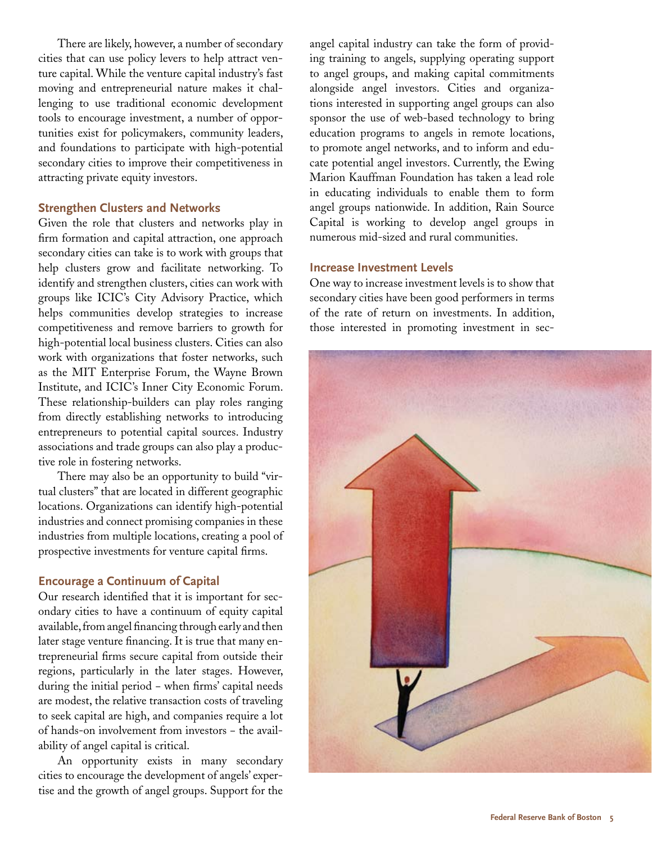There are likely, however, a number of secondary cities that can use policy levers to help attract venture capital. While the venture capital industry's fast moving and entrepreneurial nature makes it challenging to use traditional economic development tools to encourage investment, a number of opportunities exist for policymakers, community leaders, and foundations to participate with high-potential secondary cities to improve their competitiveness in attracting private equity investors.

#### **Strengthen Clusters and Networks**

Given the role that clusters and networks play in firm formation and capital attraction, one approach secondary cities can take is to work with groups that help clusters grow and facilitate networking. To identify and strengthen clusters, cities can work with groups like ICIC's City Advisory Practice, which helps communities develop strategies to increase competitiveness and remove barriers to growth for high-potential local business clusters. Cities can also work with organizations that foster networks, such as the MIT Enterprise Forum, the Wayne Brown Institute, and ICIC's Inner City Economic Forum. These relationship-builders can play roles ranging from directly establishing networks to introducing entrepreneurs to potential capital sources. Industry associations and trade groups can also play a productive role in fostering networks.

There may also be an opportunity to build "virtual clusters" that are located in different geographic locations. Organizations can identify high-potential industries and connect promising companies in these industries from multiple locations, creating a pool of prospective investments for venture capital firms.

#### **Encourage a Continuum of Capital**

Our research identified that it is important for secondary cities to have a continuum of equity capital available, from angel financing through early and then later stage venture financing. It is true that many entrepreneurial firms secure capital from outside their regions, particularly in the later stages. However, during the initial period − when firms' capital needs are modest, the relative transaction costs of traveling to seek capital are high, and companies require a lot of hands-on involvement from investors − the availability of angel capital is critical.

An opportunity exists in many secondary cities to encourage the development of angels' expertise and the growth of angel groups. Support for the angel capital industry can take the form of providing training to angels, supplying operating support to angel groups, and making capital commitments alongside angel investors. Cities and organizations interested in supporting angel groups can also sponsor the use of web-based technology to bring education programs to angels in remote locations, to promote angel networks, and to inform and educate potential angel investors. Currently, the Ewing Marion Kauffman Foundation has taken a lead role in educating individuals to enable them to form angel groups nationwide. In addition, Rain Source Capital is working to develop angel groups in numerous mid-sized and rural communities.

#### **Increase Investment Levels**

One way to increase investment levels is to show that secondary cities have been good performers in terms of the rate of return on investments. In addition, those interested in promoting investment in sec-

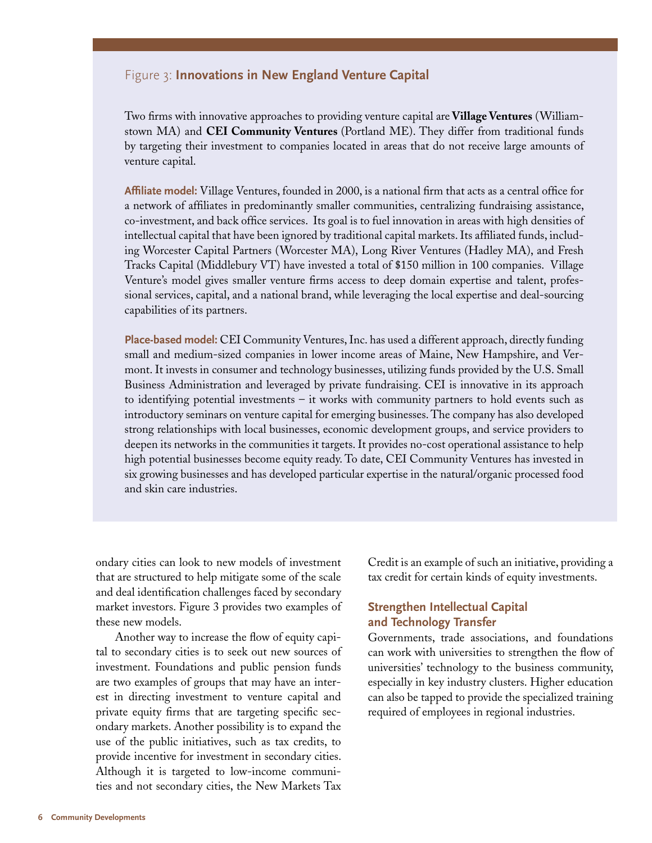#### Figure 3: **Innovations in New England Venture Capital**

Two firms with innovative approaches to providing venture capital are **Village Ventures** (Williamstown MA) and **CEI Community Ventures** (Portland ME). They differ from traditional funds by targeting their investment to companies located in areas that do not receive large amounts of venture capital.

**Affiliate model:** Village Ventures, founded in 2000, is a national firm that acts as a central office for a network of affiliates in predominantly smaller communities, centralizing fundraising assistance, co-investment, and back office services. Its goal is to fuel innovation in areas with high densities of intellectual capital that have been ignored by traditional capital markets. Its affiliated funds, including Worcester Capital Partners (Worcester MA), Long River Ventures (Hadley MA), and Fresh Tracks Capital (Middlebury VT) have invested a total of \$150 million in 100 companies. Village Venture's model gives smaller venture firms access to deep domain expertise and talent, professional services, capital, and a national brand, while leveraging the local expertise and deal-sourcing capabilities of its partners.

**Place-based model:** CEI Community Ventures, Inc. has used a different approach, directly funding small and medium-sized companies in lower income areas of Maine, New Hampshire, and Vermont. It invests in consumer and technology businesses, utilizing funds provided by the U.S. Small Business Administration and leveraged by private fundraising. CEI is innovative in its approach to identifying potential investments – it works with community partners to hold events such as introductory seminars on venture capital for emerging businesses. The company has also developed strong relationships with local businesses, economic development groups, and service providers to deepen its networks in the communities it targets. It provides no-cost operational assistance to help high potential businesses become equity ready. To date, CEI Community Ventures has invested in six growing businesses and has developed particular expertise in the natural/organic processed food and skin care industries.

ondary cities can look to new models of investment that are structured to help mitigate some of the scale and deal identification challenges faced by secondary market investors. Figure 3 provides two examples of these new models.

Another way to increase the flow of equity capital to secondary cities is to seek out new sources of investment. Foundations and public pension funds are two examples of groups that may have an interest in directing investment to venture capital and private equity firms that are targeting specific secondary markets. Another possibility is to expand the use of the public initiatives, such as tax credits, to provide incentive for investment in secondary cities. Although it is targeted to low-income communities and not secondary cities, the New Markets Tax

Credit is an example of such an initiative, providing a tax credit for certain kinds of equity investments.

#### **Strengthen Intellectual Capital and Technology Transfer**

Governments, trade associations, and foundations can work with universities to strengthen the flow of universities' technology to the business community, especially in key industry clusters. Higher education can also be tapped to provide the specialized training required of employees in regional industries.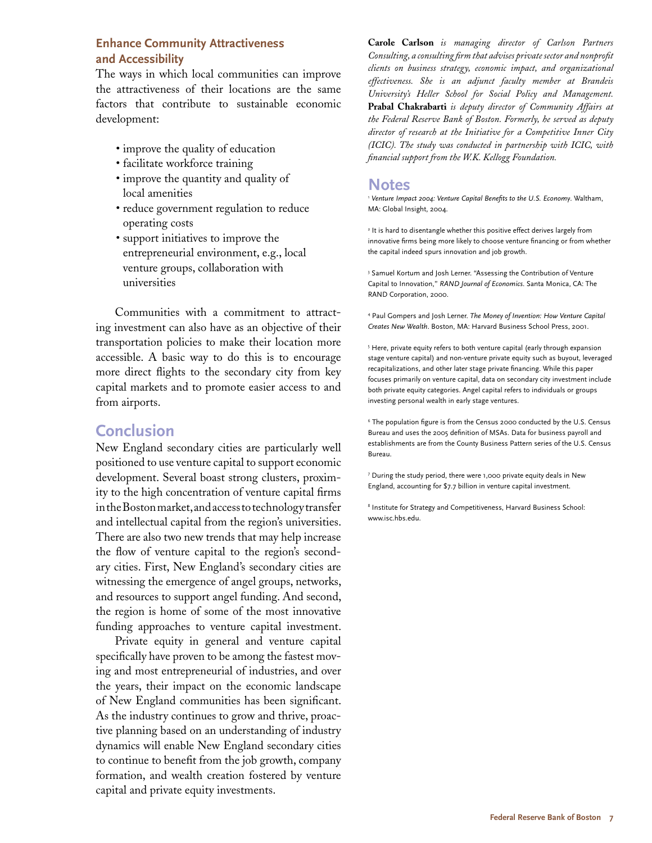#### **Enhance Community Attractiveness and Accessibility**

The ways in which local communities can improve the attractiveness of their locations are the same factors that contribute to sustainable economic development:

- improve the quality of education
- facilitate workforce training
- improve the quantity and quality of local amenities
- reduce government regulation to reduce operating costs
- support initiatives to improve the entrepreneurial environment, e.g., local venture groups, collaboration with universities

Communities with a commitment to attracting investment can also have as an objective of their transportation policies to make their location more accessible. A basic way to do this is to encourage more direct flights to the secondary city from key capital markets and to promote easier access to and from airports.

## **Conclusion**

New England secondary cities are particularly well positioned to use venture capital to support economic development. Several boast strong clusters, proximity to the high concentration of venture capital firms in the Boston market, and access to technology transfer and intellectual capital from the region's universities. There are also two new trends that may help increase the flow of venture capital to the region's secondary cities. First, New England's secondary cities are witnessing the emergence of angel groups, networks, and resources to support angel funding. And second, the region is home of some of the most innovative funding approaches to venture capital investment.

Private equity in general and venture capital specifically have proven to be among the fastest moving and most entrepreneurial of industries, and over the years, their impact on the economic landscape of New England communities has been significant. As the industry continues to grow and thrive, proactive planning based on an understanding of industry dynamics will enable New England secondary cities to continue to benefit from the job growth, company formation, and wealth creation fostered by venture capital and private equity investments.

**Carole Carlson** *is managing director of Carlson Partners Consulting, a consulting firm that advises private sector and nonprofit clients on business strategy, economic impact, and organizational effectiveness. She is an adjunct faculty member at Brandeis University's Heller School for Social Policy and Management.*  **Prabal Chakrabarti** *is deputy director of Community Affairs at the Federal Reserve Bank of Boston. Formerly, he served as deputy director of research at the Initiative for a Competitive Inner City (ICIC). The study was conducted in partnership with ICIC, with financial support from the W.K. Kellogg Foundation.*

## **Notes**

<sup>1</sup> *Venture Impact 2004: Venture Capital Benefits to the U.S. Economy*. Waltham, MA: Global Insight, 2004.

<sup>2</sup> It is hard to disentangle whether this positive effect derives largely from innovative firms being more likely to choose venture financing or from whether the capital indeed spurs innovation and job growth.

<sup>3</sup> Samuel Kortum and Josh Lerner. "Assessing the Contribution of Venture Capital to Innovation," *RAND Journal of Economics*. Santa Monica, CA: The RAND Corporation, 2000.

4 Paul Gompers and Josh Lerner. *The Money of Invention: How Venture Capital Creates New Wealth*. Boston, MA: Harvard Business School Press, 2001.

5 Here, private equity refers to both venture capital (early through expansion stage venture capital) and non-venture private equity such as buyout, leveraged recapitalizations, and other later stage private financing. While this paper focuses primarily on venture capital, data on secondary city investment include both private equity categories. Angel capital refers to individuals or groups investing personal wealth in early stage ventures.

6 The population figure is from the Census 2000 conducted by the U.S. Census Bureau and uses the 2005 definition of MSAs. Data for business payroll and establishments are from the County Business Pattern series of the U.S. Census Bureau.

7 During the study period, there were 1,000 private equity deals in New England, accounting for \$7.7 billion in venture capital investment.

8 Institute for Strategy and Competitiveness, Harvard Business School: www.isc.hbs.edu.